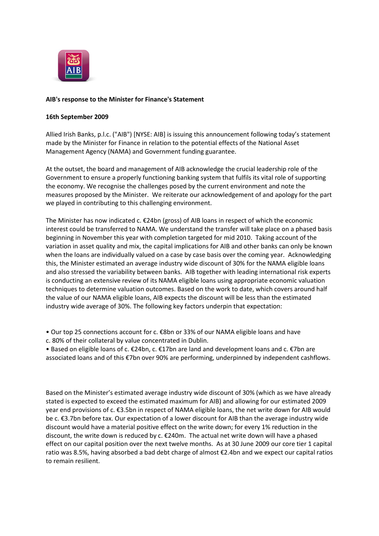

## **AIB's response to the Minister for Finance's Statement**

#### **16th September 2009**

Allied Irish Banks, p.l.c. ("AIB") [NYSE: AIB] is issuing this announcement following today's statement made by the Minister for Finance in relation to the potential effects of the National Asset Management Agency (NAMA) and Government funding guarantee.

At the outset, the board and management of AIB acknowledge the crucial leadership role of the Government to ensure a properly functioning banking system that fulfils its vital role of supporting the economy. We recognise the challenges posed by the current environment and note the measures proposed by the Minister. We reiterate our acknowledgement of and apology for the part we played in contributing to this challenging environment.

The Minister has now indicated c. €24bn (gross) of AIB loans in respect of which the economic interest could be transferred to NAMA. We understand the transfer will take place on a phased basis beginning in November this year with completion targeted for mid 2010. Taking account of the variation in asset quality and mix, the capital implications for AIB and other banks can only be known when the loans are individually valued on a case by case basis over the coming year. Acknowledging this, the Minister estimated an average industry wide discount of 30% for the NAMA eligible loans and also stressed the variability between banks. AIB together with leading international risk experts is conducting an extensive review of its NAMA eligible loans using appropriate economic valuation techniques to determine valuation outcomes. Based on the work to date, which covers around half the value of our NAMA eligible loans, AIB expects the discount will be less than the estimated industry wide average of 30%. The following key factors underpin that expectation:

• Our top 25 connections account for c. €8bn or 33% of our NAMA eligible loans and have

c. 80% of their collateral by value concentrated in Dublin.

• Based on eligible loans of c. €24bn, c. €17bn are land and development loans and c. €7bn are associated loans and of this €7bn over 90% are performing, underpinned by independent cashflows.

Based on the Minister's estimated average industry wide discount of 30% (which as we have already stated is expected to exceed the estimated maximum for AIB) and allowing for our estimated 2009 year end provisions of c. €3.5bn in respect of NAMA eligible loans, the net write down for AIB would be c. €3.7bn before tax. Our expectation of a lower discount for AIB than the average industry wide discount would have a material positive effect on the write down; for every 1% reduction in the discount, the write down is reduced by c. €240m. The actual net write down will have a phased effect on our capital position over the next twelve months. As at 30 June 2009 our core tier 1 capital ratio was 8.5%, having absorbed a bad debt charge of almost €2.4bn and we expect our capital ratios to remain resilient.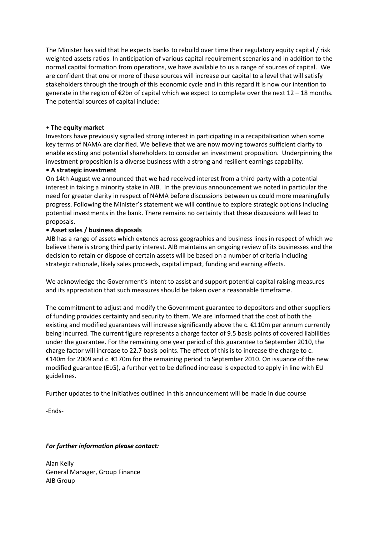The Minister has said that he expects banks to rebuild over time their regulatory equity capital / risk weighted assets ratios. In anticipation of various capital requirement scenarios and in addition to the normal capital formation from operations, we have available to us a range of sources of capital. We are confident that one or more of these sources will increase our capital to a level that will satisfy stakeholders through the trough of this economic cycle and in this regard it is now our intention to generate in the region of  $\epsilon$ 2bn of capital which we expect to complete over the next 12 – 18 months. The potential sources of capital include:

## • **The equity market**

Investors have previously signalled strong interest in participating in a recapitalisation when some key terms of NAMA are clarified. We believe that we are now moving towards sufficient clarity to enable existing and potential shareholders to consider an investment proposition. Underpinning the investment proposition is a diverse business with a strong and resilient earnings capability.

## **• A strategic investment**

On 14th August we announced that we had received interest from a third party with a potential interest in taking a minority stake in AIB. In the previous announcement we noted in particular the need for greater clarity in respect of NAMA before discussions between us could more meaningfully progress. Following the Minister's statement we will continue to explore strategic options including potential investments in the bank. There remains no certainty that these discussions will lead to proposals.

# **• Asset sales / business disposals**

AIB has a range of assets which extends across geographies and business lines in respect of which we believe there is strong third party interest. AIB maintains an ongoing review of its businesses and the decision to retain or dispose of certain assets will be based on a number of criteria including strategic rationale, likely sales proceeds, capital impact, funding and earning effects.

We acknowledge the Government's intent to assist and support potential capital raising measures and its appreciation that such measures should be taken over a reasonable timeframe.

The commitment to adjust and modify the Government guarantee to depositors and other suppliers of funding provides certainty and security to them. We are informed that the cost of both the existing and modified guarantees will increase significantly above the c. €110m per annum currently being incurred. The current figure represents a charge factor of 9.5 basis points of covered liabilities under the guarantee. For the remaining one year period of this guarantee to September 2010, the charge factor will increase to 22.7 basis points. The effect of this is to increase the charge to c. €140m for 2009 and c. €170m for the remaining period to September 2010. On issuance of the new modified guarantee (ELG), a further yet to be defined increase is expected to apply in line with EU guidelines.

Further updates to the initiatives outlined in this announcement will be made in due course

-Ends-

# *For further information please contact:*

Alan Kelly General Manager, Group Finance AIB Group